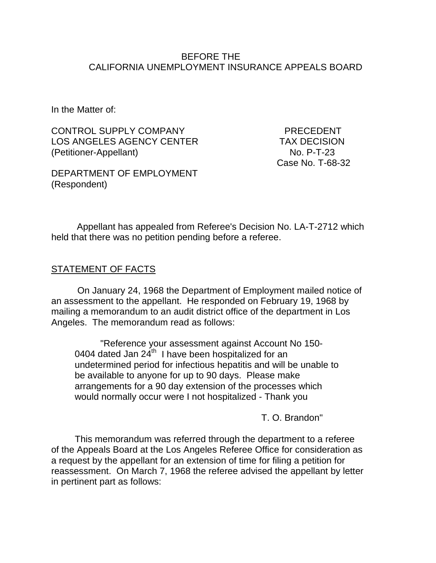### BEFORE THE CALIFORNIA UNEMPLOYMENT INSURANCE APPEALS BOARD

In the Matter of:

CONTROL SUPPLY COMPANY PRECEDENT LOS ANGELES AGENCY CENTER TAX DECISION (Petitioner-Appellant) No. P-T-23

Case No. T-68-32

DEPARTMENT OF EMPLOYMENT (Respondent)

Appellant has appealed from Referee's Decision No. LA-T-2712 which held that there was no petition pending before a referee.

## STATEMENT OF FACTS

On January 24, 1968 the Department of Employment mailed notice of an assessment to the appellant. He responded on February 19, 1968 by mailing a memorandum to an audit district office of the department in Los Angeles. The memorandum read as follows:

"Reference your assessment against Account No 150- 0404 dated Jan  $24^{th}$  I have been hospitalized for an undetermined period for infectious hepatitis and will be unable to be available to anyone for up to 90 days. Please make arrangements for a 90 day extension of the processes which would normally occur were I not hospitalized - Thank you

T. O. Brandon"

This memorandum was referred through the department to a referee of the Appeals Board at the Los Angeles Referee Office for consideration as a request by the appellant for an extension of time for filing a petition for reassessment. On March 7, 1968 the referee advised the appellant by letter in pertinent part as follows: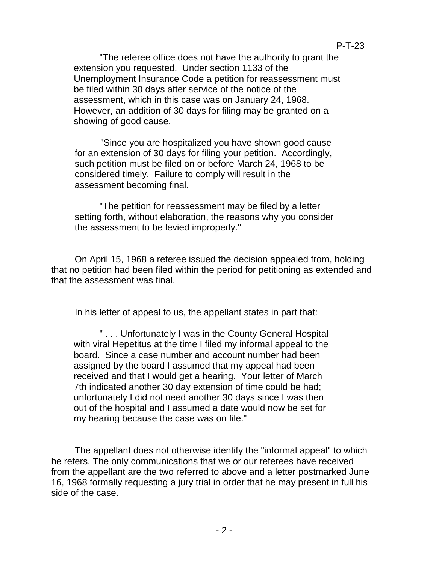"The referee office does not have the authority to grant the extension you requested. Under section 1133 of the Unemployment Insurance Code a petition for reassessment must be filed within 30 days after service of the notice of the assessment, which in this case was on January 24, 1968. However, an addition of 30 days for filing may be granted on a showing of good cause.

"Since you are hospitalized you have shown good cause for an extension of 30 days for filing your petition. Accordingly, such petition must be filed on or before March 24, 1968 to be considered timely. Failure to comply will result in the assessment becoming final.

"The petition for reassessment may be filed by a letter setting forth, without elaboration, the reasons why you consider the assessment to be levied improperly."

On April 15, 1968 a referee issued the decision appealed from, holding that no petition had been filed within the period for petitioning as extended and that the assessment was final.

In his letter of appeal to us, the appellant states in part that:

" . . . Unfortunately I was in the County General Hospital with viral Hepetitus at the time I filed my informal appeal to the board. Since a case number and account number had been assigned by the board I assumed that my appeal had been received and that I would get a hearing. Your letter of March 7th indicated another 30 day extension of time could be had; unfortunately I did not need another 30 days since I was then out of the hospital and I assumed a date would now be set for my hearing because the case was on file."

The appellant does not otherwise identify the "informal appeal" to which he refers. The only communications that we or our referees have received from the appellant are the two referred to above and a letter postmarked June 16, 1968 formally requesting a jury trial in order that he may present in full his side of the case.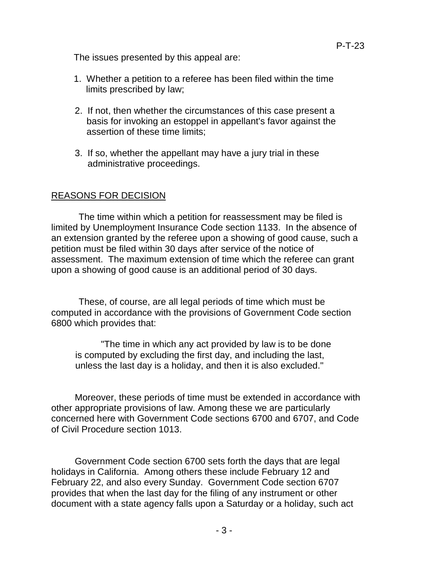The issues presented by this appeal are:

- 1. Whether a petition to a referee has been filed within the time limits prescribed by law;
- 2. If not, then whether the circumstances of this case present a basis for invoking an estoppel in appellant's favor against the assertion of these time limits;
- 3. If so, whether the appellant may have a jury trial in these administrative proceedings.

## REASONS FOR DECISION

The time within which a petition for reassessment may be filed is limited by Unemployment Insurance Code section 1133. In the absence of an extension granted by the referee upon a showing of good cause, such a petition must be filed within 30 days after service of the notice of assessment. The maximum extension of time which the referee can grant upon a showing of good cause is an additional period of 30 days.

These, of course, are all legal periods of time which must be computed in accordance with the provisions of Government Code section 6800 which provides that:

"The time in which any act provided by law is to be done is computed by excluding the first day, and including the last, unless the last day is a holiday, and then it is also excluded."

Moreover, these periods of time must be extended in accordance with other appropriate provisions of law. Among these we are particularly concerned here with Government Code sections 6700 and 6707, and Code of Civil Procedure section 1013.

Government Code section 6700 sets forth the days that are legal holidays in California. Among others these include February 12 and February 22, and also every Sunday. Government Code section 6707 provides that when the last day for the filing of any instrument or other document with a state agency falls upon a Saturday or a holiday, such act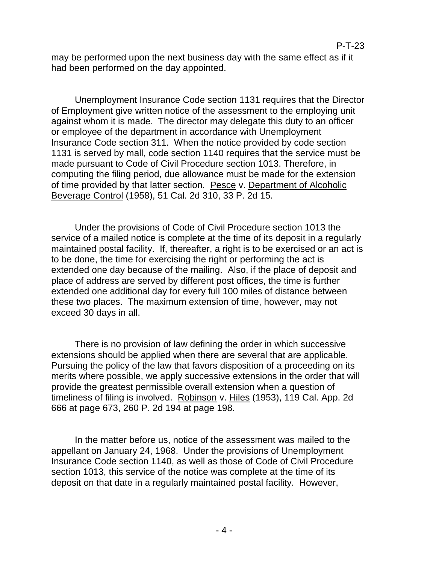may be performed upon the next business day with the same effect as if it had been performed on the day appointed.

Unemployment Insurance Code section 1131 requires that the Director of Employment give written notice of the assessment to the employing unit against whom it is made. The director may delegate this duty to an officer or employee of the department in accordance with Unemployment Insurance Code section 311. When the notice provided by code section 1131 is served by mall, code section 1140 requires that the service must be made pursuant to Code of Civil Procedure section 1013. Therefore, in computing the filing period, due allowance must be made for the extension of time provided by that latter section. Pesce v. Department of Alcoholic Beverage Control (1958), 51 Cal. 2d 310, 33 P. 2d 15.

Under the provisions of Code of Civil Procedure section 1013 the service of a mailed notice is complete at the time of its deposit in a regularly maintained postal facility. If, thereafter, a right is to be exercised or an act is to be done, the time for exercising the right or performing the act is extended one day because of the mailing. Also, if the place of deposit and place of address are served by different post offices, the time is further extended one additional day for every full 100 miles of distance between these two places. The maximum extension of time, however, may not exceed 30 days in all.

There is no provision of law defining the order in which successive extensions should be applied when there are several that are applicable. Pursuing the policy of the law that favors disposition of a proceeding on its merits where possible, we apply successive extensions in the order that will provide the greatest permissible overall extension when a question of timeliness of filing is involved. Robinson v. Hiles (1953), 119 Cal. App. 2d 666 at page 673, 260 P. 2d 194 at page 198.

In the matter before us, notice of the assessment was mailed to the appellant on January 24, 1968. Under the provisions of Unemployment Insurance Code section 1140, as well as those of Code of Civil Procedure section 1013, this service of the notice was complete at the time of its deposit on that date in a regularly maintained postal facility. However,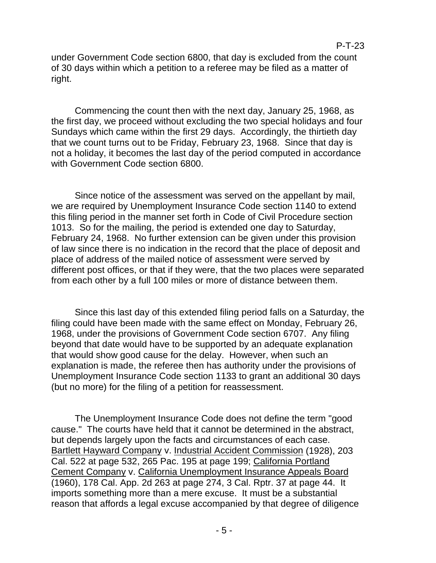under Government Code section 6800, that day is excluded from the count of 30 days within which a petition to a referee may be filed as a matter of right.

Commencing the count then with the next day, January 25, 1968, as the first day, we proceed without excluding the two special holidays and four Sundays which came within the first 29 days. Accordingly, the thirtieth day that we count turns out to be Friday, February 23, 1968. Since that day is not a holiday, it becomes the last day of the period computed in accordance with Government Code section 6800.

Since notice of the assessment was served on the appellant by mail, we are required by Unemployment Insurance Code section 1140 to extend this filing period in the manner set forth in Code of Civil Procedure section 1013. So for the mailing, the period is extended one day to Saturday, February 24, 1968. No further extension can be given under this provision of law since there is no indication in the record that the place of deposit and place of address of the mailed notice of assessment were served by different post offices, or that if they were, that the two places were separated from each other by a full 100 miles or more of distance between them.

Since this last day of this extended filing period falls on a Saturday, the filing could have been made with the same effect on Monday, February 26, 1968, under the provisions of Government Code section 6707. Any filing beyond that date would have to be supported by an adequate explanation that would show good cause for the delay. However, when such an explanation is made, the referee then has authority under the provisions of Unemployment Insurance Code section 1133 to grant an additional 30 days (but no more) for the filing of a petition for reassessment.

The Unemployment Insurance Code does not define the term "good cause." The courts have held that it cannot be determined in the abstract, but depends largely upon the facts and circumstances of each case. Bartlett Hayward Company v. Industrial Accident Commission (1928), 203 Cal. 522 at page 532, 265 Pac. 195 at page 199; California Portland Cement Company v. California Unemployment Insurance Appeals Board (1960), 178 Cal. App. 2d 263 at page 274, 3 Cal. Rptr. 37 at page 44. It imports something more than a mere excuse. It must be a substantial reason that affords a legal excuse accompanied by that degree of diligence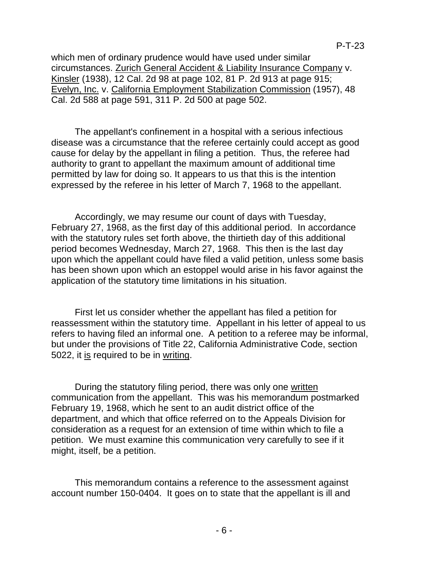which men of ordinary prudence would have used under similar circumstances. Zurich General Accident & Liability Insurance Company v. Kinsler (1938), 12 Cal. 2d 98 at page 102, 81 P. 2d 913 at page 915; Evelyn, Inc. v. California Employment Stabilization Commission (1957), 48 Cal. 2d 588 at page 591, 311 P. 2d 500 at page 502.

The appellant's confinement in a hospital with a serious infectious disease was a circumstance that the referee certainly could accept as good cause for delay by the appellant in filing a petition. Thus, the referee had authority to grant to appellant the maximum amount of additional time permitted by law for doing so. It appears to us that this is the intention expressed by the referee in his letter of March 7, 1968 to the appellant.

Accordingly, we may resume our count of days with Tuesday, February 27, 1968, as the first day of this additional period. In accordance with the statutory rules set forth above, the thirtieth day of this additional period becomes Wednesday, March 27, 1968. This then is the last day upon which the appellant could have filed a valid petition, unless some basis has been shown upon which an estoppel would arise in his favor against the application of the statutory time limitations in his situation.

First let us consider whether the appellant has filed a petition for reassessment within the statutory time. Appellant in his letter of appeal to us refers to having filed an informal one. A petition to a referee may be informal, but under the provisions of Title 22, California Administrative Code, section 5022, it is required to be in writing.

During the statutory filing period, there was only one written communication from the appellant. This was his memorandum postmarked February 19, 1968, which he sent to an audit district office of the department, and which that office referred on to the Appeals Division for consideration as a request for an extension of time within which to file a petition. We must examine this communication very carefully to see if it might, itself, be a petition.

This memorandum contains a reference to the assessment against account number 150-0404. It goes on to state that the appellant is ill and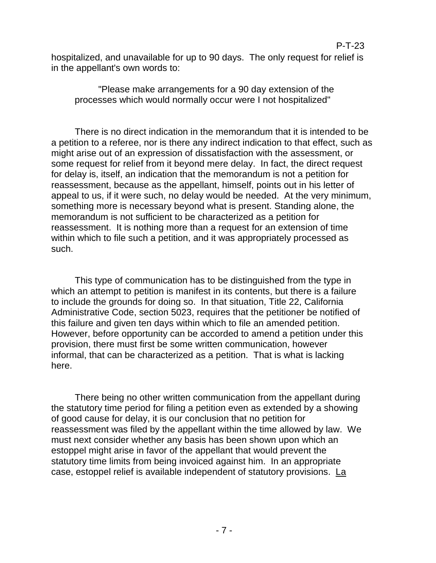# hospitalized, and unavailable for up to 90 days. The only request for relief is in the appellant's own words to:

"Please make arrangements for a 90 day extension of the processes which would normally occur were I not hospitalized"

There is no direct indication in the memorandum that it is intended to be a petition to a referee, nor is there any indirect indication to that effect, such as might arise out of an expression of dissatisfaction with the assessment, or some request for relief from it beyond mere delay. In fact, the direct request for delay is, itself, an indication that the memorandum is not a petition for reassessment, because as the appellant, himself, points out in his letter of appeal to us, if it were such, no delay would be needed. At the very minimum, something more is necessary beyond what is present. Standing alone, the memorandum is not sufficient to be characterized as a petition for reassessment. It is nothing more than a request for an extension of time within which to file such a petition, and it was appropriately processed as such.

This type of communication has to be distinguished from the type in which an attempt to petition is manifest in its contents, but there is a failure to include the grounds for doing so. In that situation, Title 22, California Administrative Code, section 5023, requires that the petitioner be notified of this failure and given ten days within which to file an amended petition. However, before opportunity can be accorded to amend a petition under this provision, there must first be some written communication, however informal, that can be characterized as a petition. That is what is lacking here.

There being no other written communication from the appellant during the statutory time period for filing a petition even as extended by a showing of good cause for delay, it is our conclusion that no petition for reassessment was filed by the appellant within the time allowed by law. We must next consider whether any basis has been shown upon which an estoppel might arise in favor of the appellant that would prevent the statutory time limits from being invoiced against him. In an appropriate case, estoppel relief is available independent of statutory provisions. La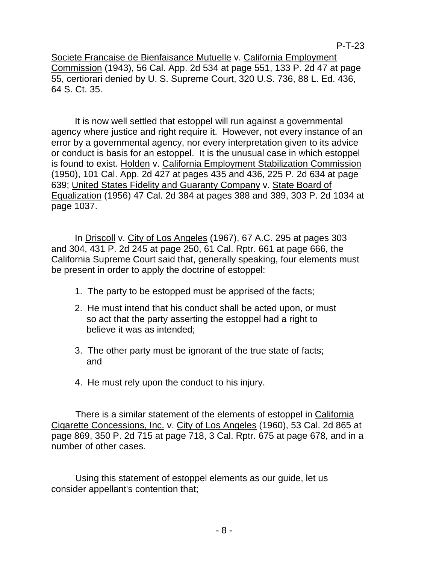Societe Francaise de Bienfaisance Mutuelle v. California Employment Commission (1943), 56 Cal. App. 2d 534 at page 551, 133 P. 2d 47 at page 55, certiorari denied by U. S. Supreme Court, 320 U.S. 736, 88 L. Ed. 436, 64 S. Ct. 35.

It is now well settled that estoppel will run against a governmental agency where justice and right require it. However, not every instance of an error by a governmental agency, nor every interpretation given to its advice or conduct is basis for an estoppel. It is the unusual case in which estoppel is found to exist. Holden v. California Employment Stabilization Commission (1950), 101 Cal. App. 2d 427 at pages 435 and 436, 225 P. 2d 634 at page 639; United States Fidelity and Guaranty Company v. State Board of Equalization (1956) 47 Cal. 2d 384 at pages 388 and 389, 303 P. 2d 1034 at page 1037.

In Driscoll v. City of Los Angeles (1967), 67 A.C. 295 at pages 303 and 304, 431 P. 2d 245 at page 250, 61 Cal. Rptr. 661 at page 666, the California Supreme Court said that, generally speaking, four elements must be present in order to apply the doctrine of estoppel:

- 1. The party to be estopped must be apprised of the facts;
- 2. He must intend that his conduct shall be acted upon, or must so act that the party asserting the estoppel had a right to believe it was as intended;
- 3. The other party must be ignorant of the true state of facts; and
- 4. He must rely upon the conduct to his injury.

There is a similar statement of the elements of estoppel in California Cigarette Concessions, Inc. v. City of Los Angeles (1960), 53 Cal. 2d 865 at page 869, 350 P. 2d 715 at page 718, 3 Cal. Rptr. 675 at page 678, and in a number of other cases.

Using this statement of estoppel elements as our guide, let us consider appellant's contention that;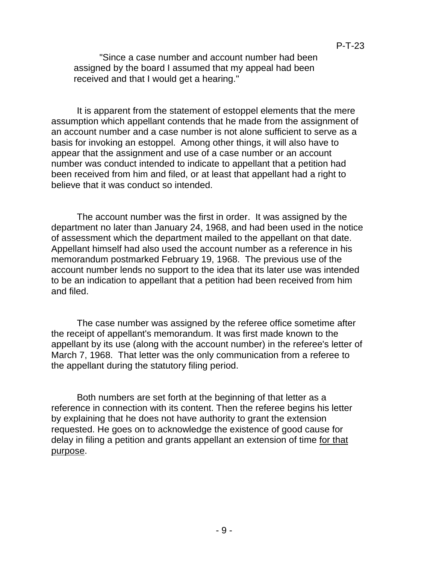"Since a case number and account number had been assigned by the board I assumed that my appeal had been received and that I would get a hearing."

It is apparent from the statement of estoppel elements that the mere assumption which appellant contends that he made from the assignment of an account number and a case number is not alone sufficient to serve as a basis for invoking an estoppel. Among other things, it will also have to appear that the assignment and use of a case number or an account number was conduct intended to indicate to appellant that a petition had been received from him and filed, or at least that appellant had a right to believe that it was conduct so intended.

The account number was the first in order. It was assigned by the department no later than January 24, 1968, and had been used in the notice of assessment which the department mailed to the appellant on that date. Appellant himself had also used the account number as a reference in his memorandum postmarked February 19, 1968. The previous use of the account number lends no support to the idea that its later use was intended to be an indication to appellant that a petition had been received from him and filed.

The case number was assigned by the referee office sometime after the receipt of appellant's memorandum. It was first made known to the appellant by its use (along with the account number) in the referee's letter of March 7, 1968. That letter was the only communication from a referee to the appellant during the statutory filing period.

Both numbers are set forth at the beginning of that letter as a reference in connection with its content. Then the referee begins his letter by explaining that he does not have authority to grant the extension requested. He goes on to acknowledge the existence of good cause for delay in filing a petition and grants appellant an extension of time for that purpose.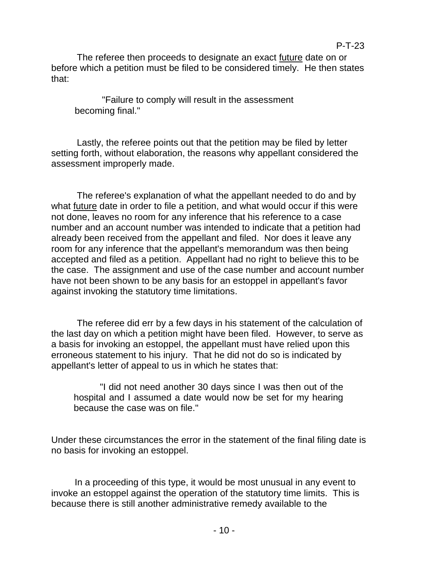The referee then proceeds to designate an exact future date on or before which a petition must be filed to be considered timely. He then states that:

"Failure to comply will result in the assessment becoming final."

Lastly, the referee points out that the petition may be filed by letter setting forth, without elaboration, the reasons why appellant considered the assessment improperly made.

The referee's explanation of what the appellant needed to do and by what **future** date in order to file a petition, and what would occur if this were not done, leaves no room for any inference that his reference to a case number and an account number was intended to indicate that a petition had already been received from the appellant and filed. Nor does it leave any room for any inference that the appellant's memorandum was then being accepted and filed as a petition. Appellant had no right to believe this to be the case. The assignment and use of the case number and account number have not been shown to be any basis for an estoppel in appellant's favor against invoking the statutory time limitations.

The referee did err by a few days in his statement of the calculation of the last day on which a petition might have been filed. However, to serve as a basis for invoking an estoppel, the appellant must have relied upon this erroneous statement to his injury. That he did not do so is indicated by appellant's letter of appeal to us in which he states that:

"I did not need another 30 days since I was then out of the hospital and I assumed a date would now be set for my hearing because the case was on file."

Under these circumstances the error in the statement of the final filing date is no basis for invoking an estoppel.

In a proceeding of this type, it would be most unusual in any event to invoke an estoppel against the operation of the statutory time limits. This is because there is still another administrative remedy available to the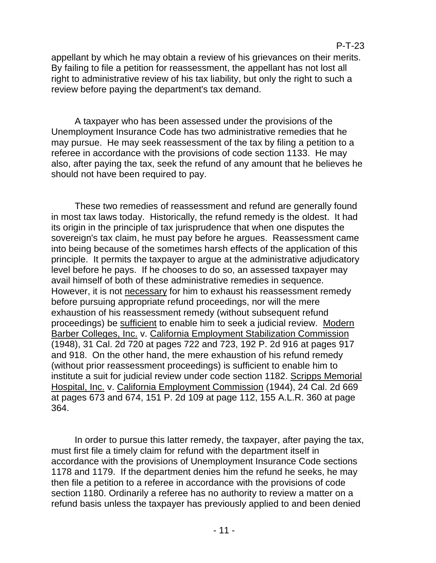appellant by which he may obtain a review of his grievances on their merits. By failing to file a petition for reassessment, the appellant has not lost all right to administrative review of his tax liability, but only the right to such a review before paying the department's tax demand.

A taxpayer who has been assessed under the provisions of the Unemployment Insurance Code has two administrative remedies that he may pursue. He may seek reassessment of the tax by filing a petition to a referee in accordance with the provisions of code section 1133. He may also, after paying the tax, seek the refund of any amount that he believes he should not have been required to pay.

These two remedies of reassessment and refund are generally found in most tax laws today. Historically, the refund remedy is the oldest. It had its origin in the principle of tax jurisprudence that when one disputes the sovereign's tax claim, he must pay before he argues. Reassessment came into being because of the sometimes harsh effects of the application of this principle. It permits the taxpayer to argue at the administrative adjudicatory level before he pays. If he chooses to do so, an assessed taxpayer may avail himself of both of these administrative remedies in sequence. However, it is not necessary for him to exhaust his reassessment remedy before pursuing appropriate refund proceedings, nor will the mere exhaustion of his reassessment remedy (without subsequent refund proceedings) be sufficient to enable him to seek a judicial review. Modern Barber Colleges, Inc. v. California Employment Stabilization Commission (1948), 31 Cal. 2d 720 at pages 722 and 723, 192 P. 2d 916 at pages 917 and 918. On the other hand, the mere exhaustion of his refund remedy (without prior reassessment proceedings) is sufficient to enable him to institute a suit for judicial review under code section 1182. Scripps Memorial Hospital, Inc. v. California Employment Commission (1944), 24 Cal. 2d 669 at pages 673 and 674, 151 P. 2d 109 at page 112, 155 A.L.R. 360 at page 364.

In order to pursue this latter remedy, the taxpayer, after paying the tax, must first file a timely claim for refund with the department itself in accordance with the provisions of Unemployment Insurance Code sections 1178 and 1179. If the department denies him the refund he seeks, he may then file a petition to a referee in accordance with the provisions of code section 1180. Ordinarily a referee has no authority to review a matter on a refund basis unless the taxpayer has previously applied to and been denied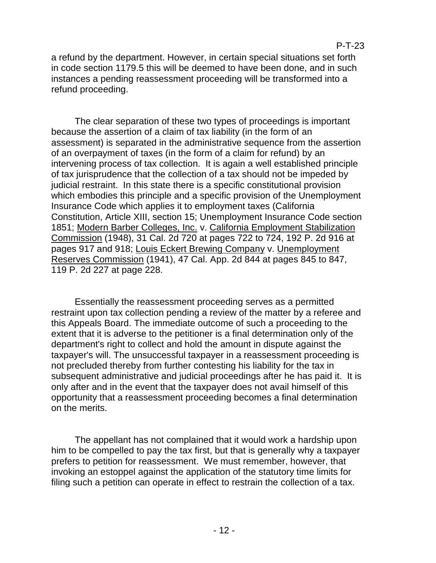a refund by the department. However, in certain special situations set forth in code section 1179.5 this will be deemed to have been done, and in such instances a pending reassessment proceeding will be transformed into a refund proceeding.

The clear separation of these two types of proceedings is important because the assertion of a claim of tax liability (in the form of an assessment) is separated in the administrative sequence from the assertion of an overpayment of taxes (in the form of a claim for refund) by an intervening process of tax collection. It is again a well established principle of tax jurisprudence that the collection of a tax should not be impeded by judicial restraint. In this state there is a specific constitutional provision which embodies this principle and a specific provision of the Unemployment Insurance Code which applies it to employment taxes (California Constitution, Article XIII, section 15; Unemployment Insurance Code section 1851; Modern Barber Colleges, Inc. v. California Employment Stabilization Commission (1948), 31 Cal. 2d 720 at pages 722 to 724, 192 P. 2d 916 at pages 917 and 918; Louis Eckert Brewing Company v. Unemployment Reserves Commission (1941), 47 Cal. App. 2d 844 at pages 845 to 847, 119 P. 2d 227 at page 228.

Essentially the reassessment proceeding serves as a permitted restraint upon tax collection pending a review of the matter by a referee and this Appeals Board. The immediate outcome of such a proceeding to the extent that it is adverse to the petitioner is a final determination only of the department's right to collect and hold the amount in dispute against the taxpayer's will. The unsuccessful taxpayer in a reassessment proceeding is not precluded thereby from further contesting his liability for the tax in subsequent administrative and judicial proceedings after he has paid it. It is only after and in the event that the taxpayer does not avail himself of this opportunity that a reassessment proceeding becomes a final determination on the merits.

The appellant has not complained that it would work a hardship upon him to be compelled to pay the tax first, but that is generally why a taxpayer prefers to petition for reassessment. We must remember, however, that invoking an estoppel against the application of the statutory time limits for filing such a petition can operate in effect to restrain the collection of a tax.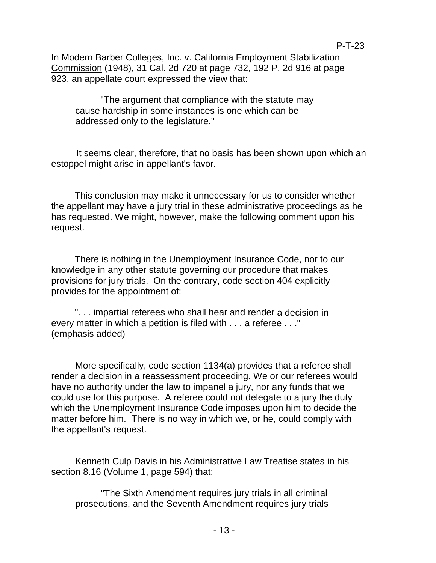In Modern Barber Colleges, Inc. v. California Employment Stabilization Commission (1948), 31 Cal. 2d 720 at page 732, 192 P. 2d 916 at page 923, an appellate court expressed the view that:

"The argument that compliance with the statute may cause hardship in some instances is one which can be addressed only to the legislature."

It seems clear, therefore, that no basis has been shown upon which an estoppel might arise in appellant's favor.

This conclusion may make it unnecessary for us to consider whether the appellant may have a jury trial in these administrative proceedings as he has requested. We might, however, make the following comment upon his request.

There is nothing in the Unemployment Insurance Code, nor to our knowledge in any other statute governing our procedure that makes provisions for jury trials. On the contrary, code section 404 explicitly provides for the appointment of:

". . . impartial referees who shall hear and render a decision in every matter in which a petition is filed with . . . a referee . . ." (emphasis added)

More specifically, code section 1134(a) provides that a referee shall render a decision in a reassessment proceeding. We or our referees would have no authority under the law to impanel a jury, nor any funds that we could use for this purpose. A referee could not delegate to a jury the duty which the Unemployment Insurance Code imposes upon him to decide the matter before him. There is no way in which we, or he, could comply with the appellant's request.

Kenneth Culp Davis in his Administrative Law Treatise states in his section 8.16 (Volume 1, page 594) that:

"The Sixth Amendment requires jury trials in all criminal prosecutions, and the Seventh Amendment requires jury trials